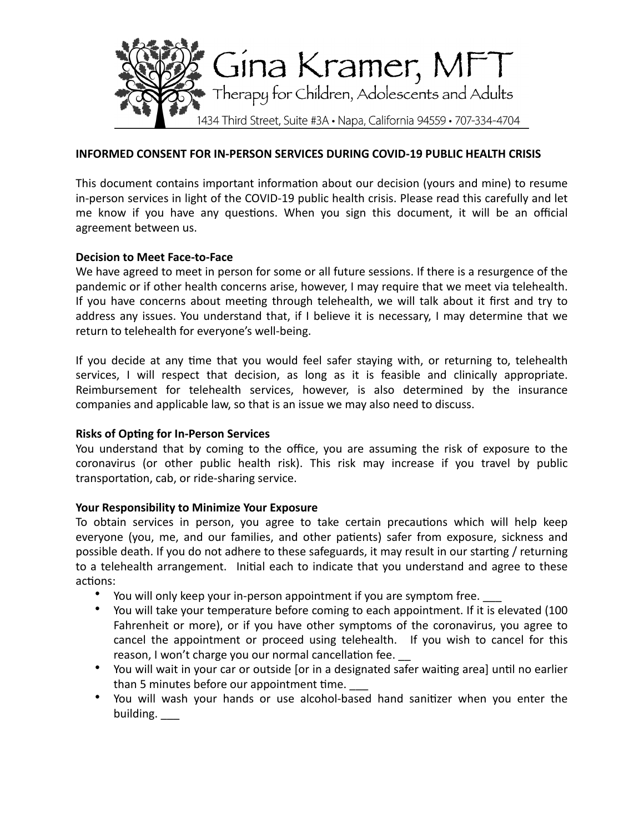

### **INFORMED CONSENT FOR IN-PERSON SERVICES DURING COVID-19 PUBLIC HEALTH CRISIS**

This document contains important information about our decision (yours and mine) to resume in-person services in light of the COVID-19 public health crisis. Please read this carefully and let me know if you have any questions. When you sign this document, it will be an official agreement between us.

## **Decision to Meet Face-to-Face**

We have agreed to meet in person for some or all future sessions. If there is a resurgence of the pandemic or if other health concerns arise, however, I may require that we meet via telehealth. If you have concerns about meeting through telehealth, we will talk about it first and try to address any issues. You understand that, if I believe it is necessary, I may determine that we return to telehealth for everyone's well-being.

If you decide at any time that you would feel safer staying with, or returning to, telehealth services, I will respect that decision, as long as it is feasible and clinically appropriate. Reimbursement for telehealth services, however, is also determined by the insurance companies and applicable law, so that is an issue we may also need to discuss.

### **Risks of Opting for In-Person Services**

You understand that by coming to the office, you are assuming the risk of exposure to the coronavirus (or other public health risk). This risk may increase if you travel by public transportation, cab, or ride-sharing service.

### **Your Responsibility to Minimize Your Exposure**

To obtain services in person, you agree to take certain precautions which will help keep everyone (you, me, and our families, and other patients) safer from exposure, sickness and possible death. If you do not adhere to these safeguards, it may result in our starting / returning to a telehealth arrangement. Initial each to indicate that you understand and agree to these actions:

- You will only keep your in-person appointment if you are symptom free.
- You will take your temperature before coming to each appointment. If it is elevated (100 Fahrenheit or more), or if you have other symptoms of the coronavirus, you agree to cancel the appointment or proceed using telehealth. If you wish to cancel for this reason, I won't charge you our normal cancellation fee.
- You will wait in your car or outside [or in a designated safer waiting area] until no earlier than 5 minutes before our appointment time.
- You will wash your hands or use alcohol-based hand sanitizer when you enter the building.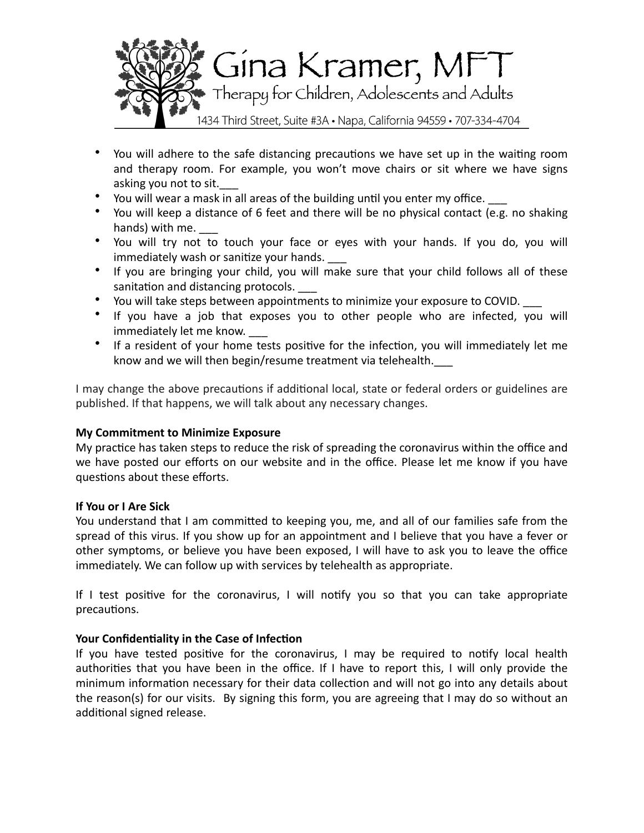

- You will adhere to the safe distancing precautions we have set up in the waiting room and therapy room. For example, you won't move chairs or sit where we have signs asking you not to sit.
- You will wear a mask in all areas of the building until you enter my office.
- You will keep a distance of 6 feet and there will be no physical contact (e.g. no shaking hands) with me.
- You will try not to touch your face or eyes with your hands. If you do, you will immediately wash or sanitize your hands.
- If you are bringing your child, you will make sure that your child follows all of these sanitation and distancing protocols.
- You will take steps between appointments to minimize your exposure to COVID.
- If you have a job that exposes you to other people who are infected, you will immediately let me know.
- If a resident of your home tests positive for the infection, you will immediately let me know and we will then begin/resume treatment via telehealth.

I may change the above precautions if additional local, state or federal orders or guidelines are published. If that happens, we will talk about any necessary changes.

### **My Commitment to Minimize Exposure**

My practice has taken steps to reduce the risk of spreading the coronavirus within the office and we have posted our efforts on our website and in the office. Please let me know if you have questions about these efforts.

### **If You or I Are Sick**

You understand that I am committed to keeping you, me, and all of our families safe from the spread of this virus. If you show up for an appointment and I believe that you have a fever or other symptoms, or believe you have been exposed, I will have to ask you to leave the office immediately. We can follow up with services by telehealth as appropriate.

If I test positive for the coronavirus, I will notify you so that you can take appropriate precautions. 

# **Your Confidentiality in the Case of Infection**

If you have tested positive for the coronavirus, I may be required to notify local health authorities that you have been in the office. If I have to report this, I will only provide the minimum information necessary for their data collection and will not go into any details about the reason(s) for our visits. By signing this form, you are agreeing that I may do so without an additional signed release.